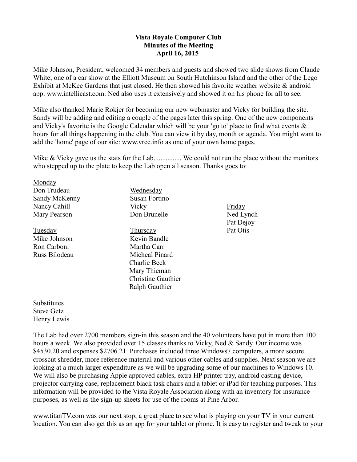## **Vista Royale Computer Club Minutes of the Meeting April 16, 2015**

Mike Johnson, President, welcomed 34 members and guests and showed two slide shows from Claude White; one of a car show at the Elliott Museum on South Hutchinson Island and the other of the Lego Exhibit at McKee Gardens that just closed. He then showed his favorite weather website & android app: www.intellicast.com. Ned also uses it extensively and showed it on his phone for all to see.

Mike also thanked Marie Rokjer for becoming our new webmaster and Vicky for building the site. Sandy will be adding and editing a couple of the pages later this spring. One of the new components and Vicky's favorite is the Google Calendar which will be your 'go to' place to find what events & hours for all things happening in the club. You can view it by day, month or agenda. You might want to add the 'home' page of our site: www.vrcc.info as one of your own home pages.

Mike & Vicky gave us the stats for the Lab.................... We could not run the place without the monitors who stepped up to the plate to keep the Lab open all season. Thanks goes to:

| Monday        |
|---------------|
| Don Trudeau   |
| Sandy McKenny |
| Nancy Cahill  |
| Mary Pearson  |

Tuesday Mike Johnson Ron Carboni Russ Bilodeau Wednesday Susan Fortino **Vicky** Don Brunelle Thursday

Kevin Bandle Martha Carr Micheal Pinard Charlie Beck Mary Thieman Christine Gauthier Ralph Gauthier

Friday Ned Lynch Pat Dejoy Pat Otis

Substitutes Steve Getz Henry Lewis

The Lab had over 2700 members sign-in this season and the 40 volunteers have put in more than 100 hours a week. We also provided over 15 classes thanks to Vicky, Ned & Sandy. Our income was \$4530.20 and expenses \$2706.21. Purchases included three Windows7 computers, a more secure crosscut shredder, more reference material and various other cables and supplies. Next season we are looking at a much larger expenditure as we will be upgrading some of our machines to Windows 10. We will also be purchasing Apple approved cables, extra HP printer tray, android casting device, projector carrying case, replacement black task chairs and a tablet or iPad for teaching purposes. This information will be provided to the Vista Royale Association along with an inventory for insurance purposes, as well as the sign-up sheets for use of the rooms at Pine Arbor.

www.titanTV.com was our next stop; a great place to see what is playing on your TV in your current location. You can also get this as an app for your tablet or phone. It is easy to register and tweak to your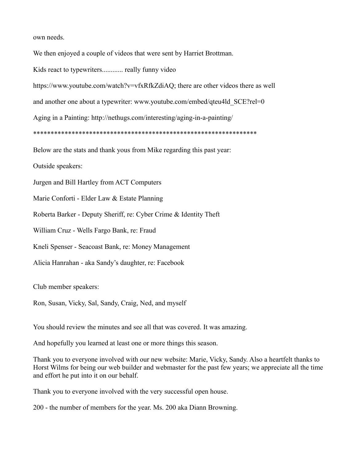own needs.

We then enjoyed a couple of videos that were sent by Harriet Brottman.

Kids react to typewriters............ really funny video

https://www.youtube.com/watch?v=vfxRfkZdiAQ; there are other videos there as well

and another one about a typewriter: www.youtube.com/embed/qteu4ld SCE?rel=0

Aging in a Painting: http://nethugs.com/interesting/aging-in-a-painting/

\*\*\*\*\*\*\*\*\*\*\*\*\*\*\*\*\*\*\*\*\*\*\*\*\*\*\*\*\*\*\*\*\*\*\*\*\*\*\*\*\*\*\*\*\*\*\*\*\*\*\*\*\*\*\*\*\*\*\*\*\*\*\*\*

Below are the stats and thank yous from Mike regarding this past year:

Outside speakers:

Jurgen and Bill Hartley from ACT Computers

Marie Conforti - Elder Law & Estate Planning

Roberta Barker - Deputy Sheriff, re: Cyber Crime & Identity Theft

William Cruz - Wells Fargo Bank, re: Fraud

Kneli Spenser - Seacoast Bank, re: Money Management

Alicia Hanrahan - aka Sandy's daughter, re: Facebook

Club member speakers:

Ron, Susan, Vicky, Sal, Sandy, Craig, Ned, and myself

You should review the minutes and see all that was covered. It was amazing.

And hopefully you learned at least one or more things this season.

Thank you to everyone involved with our new website: Marie, Vicky, Sandy. Also a heartfelt thanks to Horst Wilms for being our web builder and webmaster for the past few years; we appreciate all the time and effort he put into it on our behalf.

Thank you to everyone involved with the very successful open house.

200 - the number of members for the year. Ms. 200 aka Diann Browning.